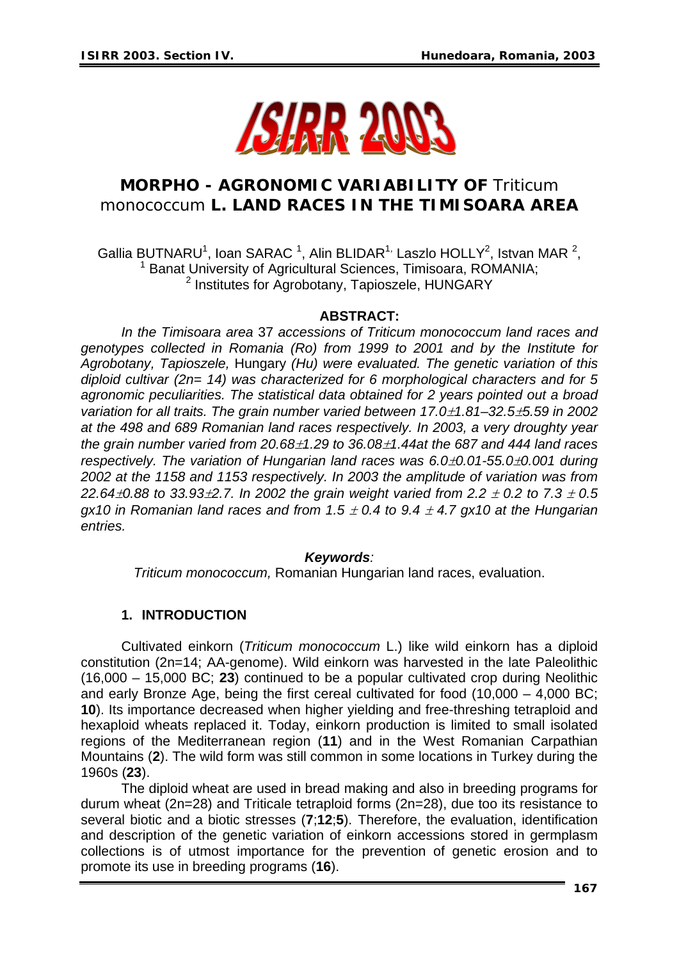

# **MORPHO - AGRONOMIC VARIABILITY OF** *Triticum monococcum* **L. LAND RACES IN THE TIMISOARA AREA**

Gallia BUTNARU<sup>1</sup>, Ioan SARAC<sup>1</sup>, Alin BLIDAR<sup>1,</sup> Laszlo HOLLY<sup>2</sup>, Istvan MAR<sup>2</sup>,  $\frac{1}{1}$  Banat University of Agricultural Sciences, Timiseara, POMANUA; <sup>1</sup> Banat University of Agricultural Sciences, Timisoara, ROMANIA; 2 Institutes for Agrobotany, Tapioszele, HUNGARY

#### **ABSTRACT:**

*In the Timisoara area* 37 *accessions of Triticum monococcum land races and genotypes collected in Romania (Ro) from 1999 to 2001 and by the Institute for Agrobotany, Tapioszele,* Hungary *(Hu) were evaluated. The genetic variation of this diploid cultivar (2n= 14) was characterized for 6 morphological characters and for 5 agronomic peculiarities. The statistical data obtained for 2 years pointed out a broad variation for all traits. The grain number varied between 17.0*±*1.81–32.5*±*5.59 in 2002 at the 498 and 689 Romanian land races respectively. In 2003, a very droughty year the grain number varied from 20.68*±*1.29 to 36.08*±*1.44at the 687 and 444 land races respectively. The variation of Hungarian land races was 6.0*±*0.01-55.0*±*0.001 during 2002 at the 1158 and 1153 respectively. In 2003 the amplitude of variation was from 22.64*±*0.88 to 33.93*±*2.7. In 2002 the grain weight varied from 2.2* ± *0.2 to 7.3* ± *0.5 gx10 in Romanian land races and from 1.5* ± *0.4 to 9.4* ± *4.7 gx10 at the Hungarian entries.* 

#### *Keywords:*

*Triticum monococcum,* Romanian Hungarian land races, evaluation.

## **1. INTRODUCTION**

Cultivated einkorn (*Triticum monococcum* L.) like wild einkorn has a diploid constitution (2n=14; AA-genome). Wild einkorn was harvested in the late Paleolithic (16,000 – 15,000 BC; **23**) continued to be a popular cultivated crop during Neolithic and early Bronze Age, being the first cereal cultivated for food (10,000 – 4,000 BC; **10**). Its importance decreased when higher yielding and free-threshing tetraploid and hexaploid wheats replaced it. Today, einkorn production is limited to small isolated regions of the Mediterranean region (**11**) and in the West Romanian Carpathian Mountains (**2**). The wild form was still common in some locations in Turkey during the 1960s (**23**).

The diploid wheat are used in bread making and also in breeding programs for durum wheat (2n=28) and Triticale tetraploid forms (2n=28), due too its resistance to several biotic and a biotic stresses (**7**;**12**;**5**). Therefore, the evaluation, identification and description of the genetic variation of einkorn accessions stored in germplasm collections is of utmost importance for the prevention of genetic erosion and to promote its use in breeding programs (**16**).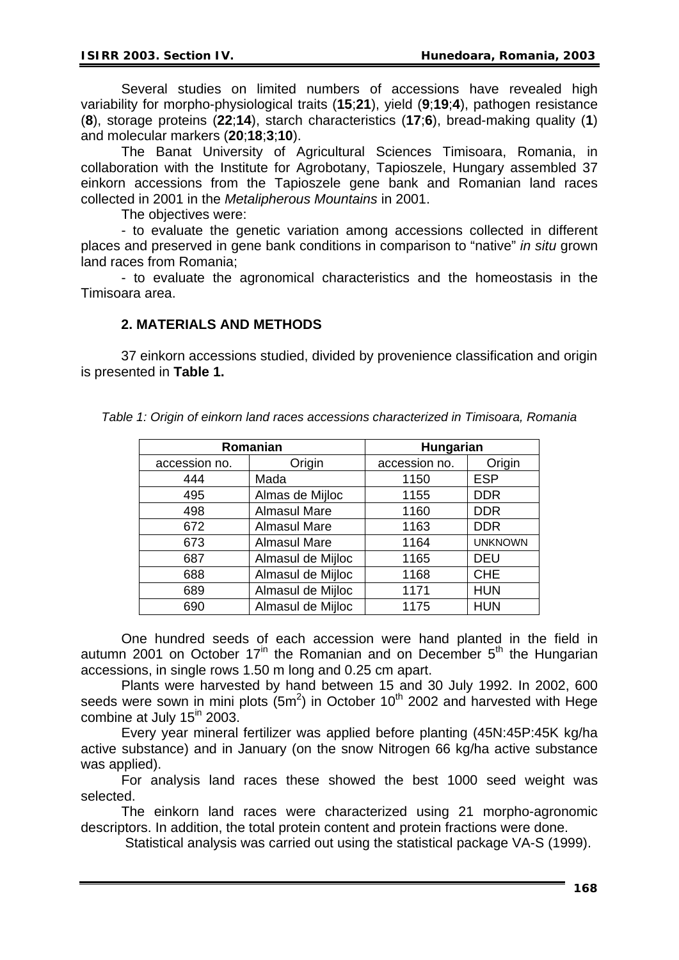Several studies on limited numbers of accessions have revealed high variability for morpho-physiological traits (**15**;**21**), yield (**9**;**19**;**4**), pathogen resistance (**8**), storage proteins (**22**;**14**), starch characteristics (**17**;**6**), bread-making quality (**1**) and molecular markers (**20**;**18**;**3**;**10**).

The Banat University of Agricultural Sciences Timisoara, Romania, in collaboration with the Institute for Agrobotany, Tapioszele, Hungary assembled 37 einkorn accessions from the Tapioszele gene bank and Romanian land races collected in 2001 in the *Metalipherous Mountains* in 2001.

The objectives were:

- to evaluate the genetic variation among accessions collected in different places and preserved in gene bank conditions in comparison to "native" *in situ* grown land races from Romania;

- to evaluate the agronomical characteristics and the homeostasis in the Timisoara area.

### **2. MATERIALS AND METHODS**

37 einkorn accessions studied, divided by provenience classification and origin is presented in **Table 1.** 

| Romanian      |                     | Hungarian     |                |
|---------------|---------------------|---------------|----------------|
| accession no. | Origin              | accession no. | Origin         |
| 444           | Mada                | 1150          | <b>ESP</b>     |
| 495           | Almas de Mijloc     | 1155          | <b>DDR</b>     |
| 498           | <b>Almasul Mare</b> | 1160          | <b>DDR</b>     |
| 672           | <b>Almasul Mare</b> | 1163          | <b>DDR</b>     |
| 673           | <b>Almasul Mare</b> | 1164          | <b>UNKNOWN</b> |
| 687           | Almasul de Mijloc   | 1165          | <b>DEU</b>     |
| 688           | Almasul de Mijloc   | 1168          | <b>CHE</b>     |
| 689           | Almasul de Mijloc   | 1171          | <b>HUN</b>     |
| 690           | Almasul de Mijloc   | 1175          | <b>HUN</b>     |

*Table 1: Origin of einkorn land races accessions characterized in Timisoara, Romania* 

One hundred seeds of each accession were hand planted in the field in autumn 2001 on October  $17<sup>in</sup>$  the Romanian and on December  $5<sup>th</sup>$  the Hungarian accessions, in single rows 1.50 m long and 0.25 cm apart.

Plants were harvested by hand between 15 and 30 July 1992. In 2002, 600 seeds were sown in mini plots  $(5m^2)$  in October 10<sup>th</sup> 2002 and harvested with Hege combine at July 15<sup>in</sup> 2003.

Every year mineral fertilizer was applied before planting (45N:45P:45K kg/ha active substance) and in January (on the snow Nitrogen 66 kg/ha active substance was applied).

For analysis land races these showed the best 1000 seed weight was selected.

The einkorn land races were characterized using 21 morpho-agronomic descriptors. In addition, the total protein content and protein fractions were done.

Statistical analysis was carried out using the statistical package VA-S (1999).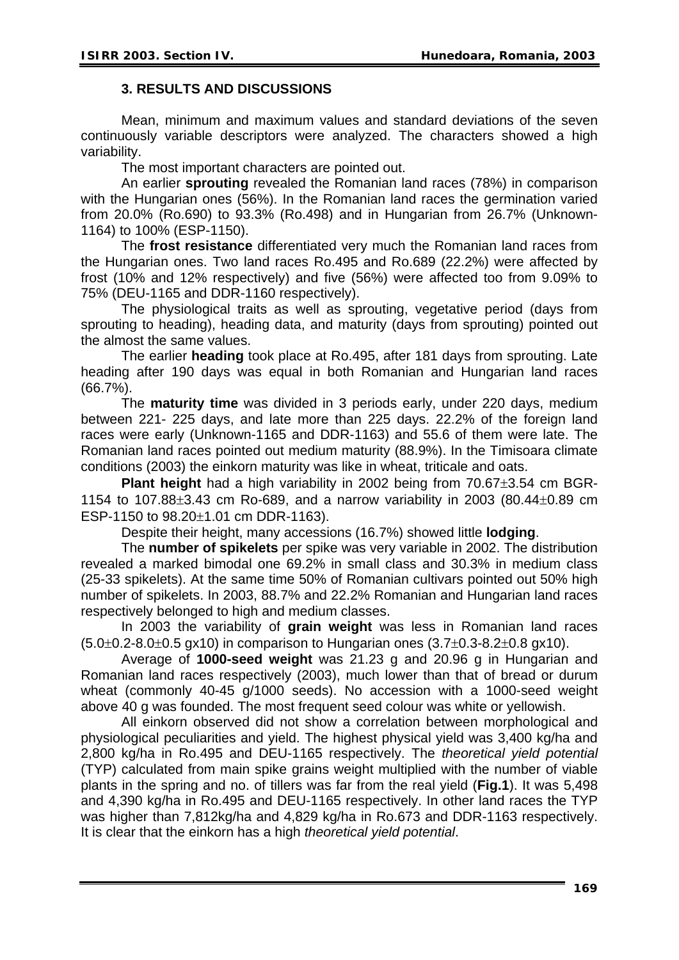### **3. RESULTS AND DISCUSSIONS**

Mean, minimum and maximum values and standard deviations of the seven continuously variable descriptors were analyzed. The characters showed a high variability.

The most important characters are pointed out.

An earlier **sprouting** revealed the Romanian land races (78%) in comparison with the Hungarian ones (56%). In the Romanian land races the germination varied from 20.0% (Ro.690) to 93.3% (Ro.498) and in Hungarian from 26.7% (Unknown-1164) to 100% (ESP-1150).

The **frost resistance** differentiated very much the Romanian land races from the Hungarian ones. Two land races Ro.495 and Ro.689 (22.2%) were affected by frost (10% and 12% respectively) and five (56%) were affected too from 9.09% to 75% (DEU-1165 and DDR-1160 respectively).

The physiological traits as well as sprouting, vegetative period (days from sprouting to heading), heading data, and maturity (days from sprouting) pointed out the almost the same values.

The earlier **heading** took place at Ro.495, after 181 days from sprouting. Late heading after 190 days was equal in both Romanian and Hungarian land races (66.7%).

The **maturity time** was divided in 3 periods early, under 220 days, medium between 221- 225 days, and late more than 225 days. 22.2% of the foreign land races were early (Unknown-1165 and DDR-1163) and 55.6 of them were late. The Romanian land races pointed out medium maturity (88.9%). In the Timisoara climate conditions (2003) the einkorn maturity was like in wheat, triticale and oats.

**Plant height** had a high variability in 2002 being from 70.67±3.54 cm BGR-1154 to 107.88±3.43 cm Ro-689, and a narrow variability in 2003 (80.44±0.89 cm ESP-1150 to 98.20±1.01 cm DDR-1163).

Despite their height, many accessions (16.7%) showed little **lodging**.

The **number of spikelets** per spike was very variable in 2002. The distribution revealed a marked bimodal one 69.2% in small class and 30.3% in medium class (25-33 spikelets). At the same time 50% of Romanian cultivars pointed out 50% high number of spikelets. In 2003, 88.7% and 22.2% Romanian and Hungarian land races respectively belonged to high and medium classes.

In 2003 the variability of **grain weight** was less in Romanian land races  $(5.0\pm0.2-8.0\pm0.5$  gx10) in comparison to Hungarian ones  $(3.7\pm0.3-8.2\pm0.8$  gx10).

Average of **1000-seed weight** was 21.23 g and 20.96 g in Hungarian and Romanian land races respectively (2003), much lower than that of bread or durum wheat (commonly 40-45 g/1000 seeds). No accession with a 1000-seed weight above 40 g was founded. The most frequent seed colour was white or yellowish.

All einkorn observed did not show a correlation between morphological and physiological peculiarities and yield. The highest physical yield was 3,400 kg/ha and 2,800 kg/ha in Ro.495 and DEU-1165 respectively. The *theoretical yield potential* (TYP) calculated from main spike grains weight multiplied with the number of viable plants in the spring and no. of tillers was far from the real yield (**Fig.1**). It was 5,498 and 4,390 kg/ha in Ro.495 and DEU-1165 respectively. In other land races the TYP was higher than 7,812kg/ha and 4,829 kg/ha in Ro.673 and DDR-1163 respectively. It is clear that the einkorn has a high *theoretical yield potential*.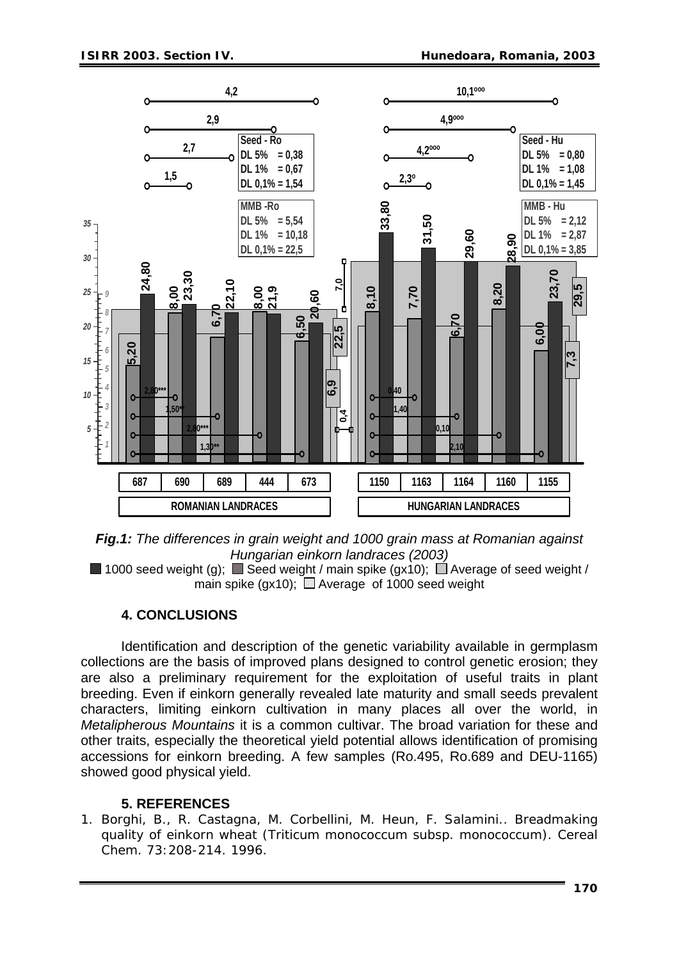



1000 seed weight (g);  $\Box$  Seed weight / main spike (gx10);  $\Box$  Average of seed weight / main spike (gx10);  $\Box$  Average of 1000 seed weight

### **4. CONCLUSIONS**

Identification and description of the genetic variability available in germplasm collections are the basis of improved plans designed to control genetic erosion; they are also a preliminary requirement for the exploitation of useful traits in plant breeding. Even if einkorn generally revealed late maturity and small seeds prevalent characters, limiting einkorn cultivation in many places all over the world, in *Metalipherous Mountains* it is a common cultivar. The broad variation for these and other traits, especially the theoretical yield potential allows identification of promising accessions for einkorn breeding. A few samples (Ro.495, Ro.689 and DEU-1165) showed good physical yield.

### **5. REFERENCES**

1. Borghi, B., R. Castagna, M. Corbellini, M. Heun, F. Salamini.. Breadmaking quality of einkorn wheat (*Triticum monococcum* subsp. *monococcum*). *Cereal Chem*. 73:208-214. 1996.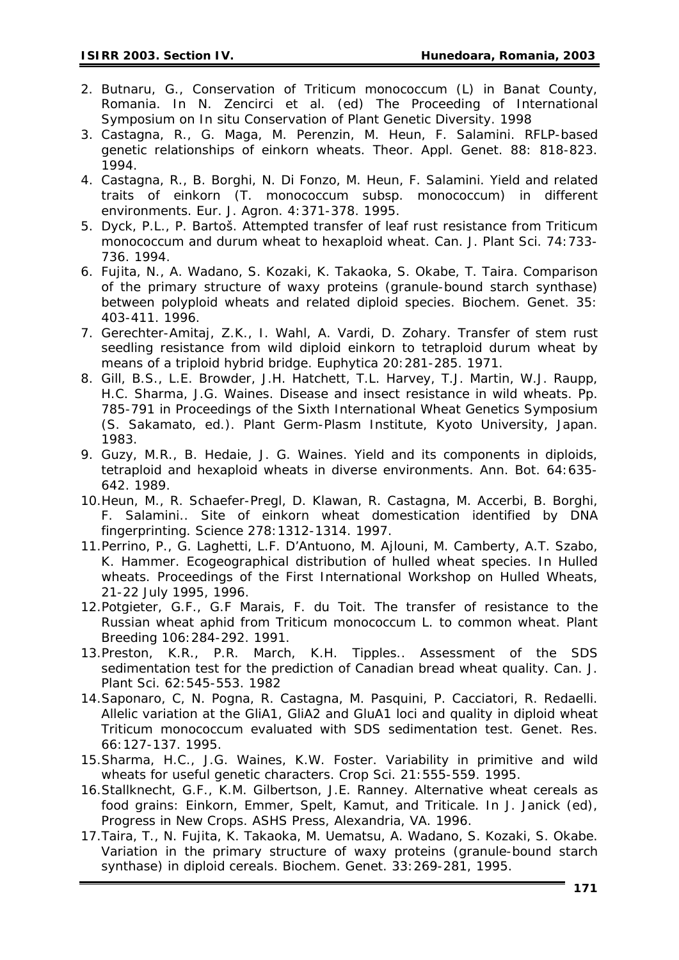- 2. Butnaru, G., Conservation of *Triticum monococcum* (L) in Banat County, Romania. *In N. Zencirci et al. (ed) The Proceeding of International Symposium on In situ Conservation of Plant Genetic Diversity.* 1998
- 3. Castagna, R., G. Maga, M. Perenzin, M. Heun, F. Salamini. RFLP-based genetic relationships of einkorn wheats. *Theor. Appl. Genet.* 88: 818-823. 1994.
- 4. Castagna, R., B. Borghi, N. Di Fonzo, M. Heun, F. Salamini. Yield and related traits of einkorn (*T. monococcum* subsp. *monococcum*) in different environments. *Eur. J. Agron*. 4:371-378. 1995.
- 5. Dyck, P.L., P. Bartoš. Attempted transfer of leaf rust resistance from *Triticum monococcum* and *durum* wheat to hexaploid wheat. *Can. J. Plant Sci*. 74:733- 736. 1994.
- 6. Fujita, N., A. Wadano, S. Kozaki, K. Takaoka, S. Okabe, T. Taira. Comparison of the primary structure of waxy proteins (granule-bound starch synthase) between polyploid wheats and related diploid species. *Biochem. Genet*. 35: 403-411. 1996.
- 7. Gerechter-Amitaj, Z.K., I. Wahl, A. Vardi, D. Zohary. Transfer of stem rust seedling resistance from wild diploid einkorn to tetraploid *durum* wheat by means of a triploid hybrid bridge. *Euphytica* 20:281-285. 1971.
- 8. Gill, B.S., L.E. Browder, J.H. Hatchett, T.L. Harvey, T.J. Martin, W.J. Raupp, H.C. Sharma, J.G. Waines. Disease and insect resistance in wild wheats. Pp. 785-791 in *Proceedings of the Sixth International Wheat Genetics Symposium* (S. Sakamato, ed.). Plant Germ-Plasm Institute, Kyoto University, Japan. 1983.
- 9. Guzy, M.R., B. Hedaie, J. G. Waines. Yield and its components in diploids, tetraploid and hexaploid wheats in diverse environments. *Ann. Bot*. 64:635- 642. 1989.
- 10.Heun, M., R. Schaefer-Pregl, D. Klawan, R. Castagna, M. Accerbi, B. Borghi, F. Salamini.. Site of einkorn wheat domestication identified by DNA fingerprinting. *Science* 278:1312-1314. 1997.
- 11.Perrino, P., G. Laghetti, L.F. D'Antuono, M. Ajlouni, M. Camberty, A.T. Szabo, K. Hammer. Ecogeographical distribution of hulled wheat species. In Hulled wheats. *Proceedings of the First International Workshop on Hulled Wheats,* 21-22 July 1995, 1996.
- 12.Potgieter, G.F., G.F Marais, F. du Toit. The transfer of resistance to the Russian wheat aphid from *Triticum monococcum* L. to common wheat. *Plant Breeding* 106:284-292. 1991.
- 13.Preston, K.R., P.R. March, K.H. Tipples.. Assessment of the SDS sedimentation test for the prediction of Canadian bread wheat quality. *Can. J. Plant Sci*. 62:545-553. 1982
- 14.Saponaro, C, N. Pogna, R. Castagna, M. Pasquini, P. Cacciatori, R. Redaelli. Allelic variation at the GliA1, GliA2 and GluA1 loci and quality in diploid wheat *Triticum monococcum* evaluated with SDS sedimentation test. Genet. Res. 66:127-137. 1995.
- 15.Sharma, H.C., J.G. Waines, K.W. Foster. Variability in primitive and wild wheats for useful genetic characters. *Crop Sci*. 21:555-559. 1995.
- 16.Stallknecht, G.F., K.M. Gilbertson, J.E. Ranney. Alternative wheat cereals as food grains: Einkorn, Emmer, Spelt, Kamut, and Triticale. *In J. Janick (ed), Progress in New Crops. ASHS Press, Alexandria, VA*. 1996.
- 17.Taira, T., N. Fujita, K. Takaoka, M. Uematsu, A. Wadano, S. Kozaki, S. Okabe. Variation in the primary structure of waxy proteins (granule-bound starch synthase) in diploid cereals. *Biochem. Genet*. 33:269-281, 1995.